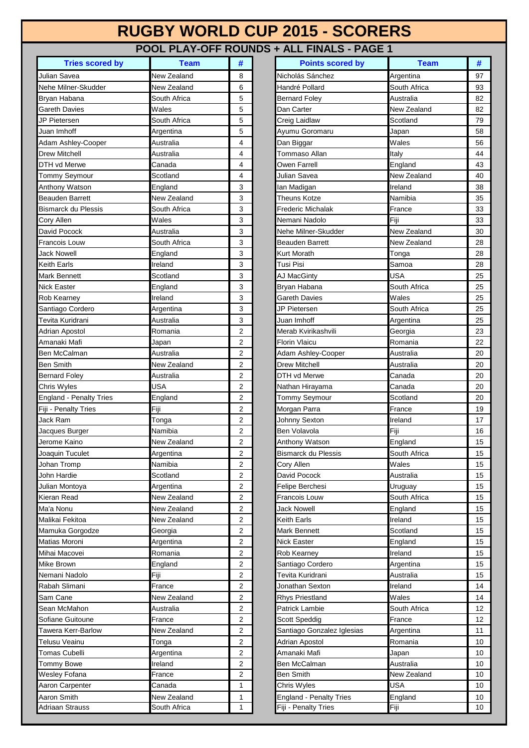## **RUGBY WORLD CUP 2015 - SCORERS**

## **POOL PLAY-OFF ROUNDS + ALL FINALS - PAGE 1**

| <b>Tries scored by</b>         | <b>Team</b>  | #                       | <b>Points scored by</b>              | <b>Team</b>            | #              |
|--------------------------------|--------------|-------------------------|--------------------------------------|------------------------|----------------|
| Julian Savea                   | New Zealand  | 8                       | Nicholás Sánchez                     | Argentina              | 97             |
| Nehe Milner-Skudder            | New Zealand  | 6                       | Handré Pollard                       | South Africa           | 93             |
| Bryan Habana                   | South Africa | 5                       | <b>Bernard Foley</b>                 | Australia              | 82             |
| <b>Gareth Davies</b>           | Wales        | 5                       | Dan Carter                           | New Zealand            | 82             |
| JP Pietersen                   | South Africa | 5                       | Creig Laidlaw                        | Scotland               | <b>79</b>      |
| Juan Imhoff                    | Argentina    | 5                       | Ayumu Goromaru                       | Japan                  | 58             |
| Adam Ashley-Cooper             | Australia    | $\overline{\mathbf{4}}$ | Dan Biggar                           | Wales                  | 56             |
| <b>Drew Mitchell</b>           | Australia    | 4                       | Tommaso Allan                        | Italy                  | 44             |
| DTH vd Merwe                   | Canada       | 4                       | Owen Farrell                         | England                | 43             |
| <b>Tommy Seymour</b>           | Scotland     | 4                       | Julian Savea                         | New Zealand            | 40             |
| Anthony Watson                 | England      | 3                       | lan Madigan                          | Ireland                | 38             |
| <b>Beauden Barrett</b>         | New Zealand  | 3                       | <b>Theuns Kotze</b>                  | Namibia                | 35             |
| <b>Bismarck du Plessis</b>     | South Africa | 3                       | Frederic Michalak                    | France                 | 33             |
| <b>Cory Allen</b>              | Wales        | 3                       | Nemani Nadolo                        | Fiji                   | 33             |
| David Pocock                   | Australia    | 3                       | Nehe Milner-Skudder                  | New Zealand            | 30             |
| Francois Louw                  | South Africa | 3                       | Beauden Barrett                      | New Zealand            | 28             |
| <b>Jack Nowell</b>             | England      | 3                       | Kurt Morath                          | Tonga                  | 28             |
| <b>Keith Earls</b>             | Ireland      | 3                       | Tusi Pisi                            | Samoa                  | 28             |
| <b>Mark Bennett</b>            | Scotland     | 3                       | AJ MacGinty                          | <b>USA</b>             | 25             |
| <b>Nick Easter</b>             | England      | 3                       | Bryan Habana                         | South Africa           | 25             |
| Rob Kearney                    | Ireland      | 3                       | Gareth Davies                        | Wales                  | 25             |
| Santiago Cordero               | Argentina    | 3                       | JP Pietersen                         | South Africa           | 25             |
| Tevita Kuridrani               | Australia    | 3                       | Juan Imhoff                          | Argentina              | 25             |
| <b>Adrian Apostol</b>          | Romania      | $\overline{2}$          | Merab Kvirikashvili                  | Georgia                | 23             |
| Amanaki Mafi                   | Japan        | $\overline{2}$          | <b>Florin Vlaicu</b>                 | Romania                | 22             |
| <b>Ben McCalman</b>            | Australia    | $\overline{c}$          | Adam Ashley-Cooper                   | Australia              | 20             |
| <b>Ben Smith</b>               | New Zealand  | $\boldsymbol{2}$        | <b>Drew Mitchell</b>                 | Australia              | 20             |
| <b>Bernard Foley</b>           | Australia    | $\overline{c}$          | DTH vd Merwe                         | Canada                 | 20             |
| Chris Wyles                    | USA          | $\overline{2}$          | Nathan Hirayama                      | Canada                 | 20             |
| <b>England - Penalty Tries</b> | England      | $\overline{2}$          | Tommy Seymour                        | Scotland               | 20             |
| Fiji - Penalty Tries           | Fiji         | $\overline{2}$          | Morgan Parra                         | France                 | 19             |
| Jack Ram                       | Tonga        | $\overline{2}$          | Johnny Sexton                        | Ireland                | 17             |
| Jacques Burger                 | Namibia      | 2                       | <b>Ben Volavola</b>                  | Fiji                   | 16             |
| Jerome Kaino                   | New Zealand  | $\overline{c}$          | Anthony Watson                       | England                | 15             |
| Joaquin Tuculet                | Argentina    | $\mathbf 2$             | <b>Bismarck du Plessis</b>           | South Africa           | 15             |
| Johan Tromp                    | Namibia      | $\overline{2}$          | Cory Allen                           | Wales                  | 15             |
| John Hardie                    | Scotland     | 2                       | David Pocock                         | Australia              | 15             |
| Julian Montoya                 | Argentina    | $\overline{2}$          | Felipe Berchesi                      | Uruguay                | 15             |
| Kieran Read                    | New Zealand  | $\boldsymbol{2}$        | Francois Louw                        | South Africa           | 15             |
| Ma'a Nonu                      | New Zealand  | 2                       | <b>Jack Nowell</b>                   | England                | 15             |
| Malikai Fekitoa                | New Zealand  | 2                       | Keith Earls                          | Ireland                | 15             |
| Mamuka Gorgodze                | Georgia      | $\overline{c}$          | Mark Bennett                         | Scotland               | 15             |
| Matias Moroni                  | Argentina    | 2                       | <b>Nick Easter</b>                   | England                | 15             |
| Mihai Macovei                  | Romania      | $\overline{2}$          | Rob Kearney                          | Ireland                | 15             |
| <b>Mike Brown</b>              | England      | $\overline{\mathbf{c}}$ |                                      |                        | 15             |
| Nemani Nadolo                  | Fiji         | 2                       | Santiago Cordero<br>Tevita Kuridrani | Argentina<br>Australia | 15             |
| Rabah Slimani                  | France       | $\overline{c}$          | Jonathan Sexton                      | Ireland                | 14             |
|                                |              |                         |                                      | Wales                  |                |
| Sam Cane                       | New Zealand  | $\overline{\mathbf{c}}$ | <b>Rhys Priestland</b>               |                        | 14             |
| Sean McMahon                   | Australia    | 2                       | Patrick Lambie                       | South Africa           | 12             |
| Sofiane Guitoune               | France       | $\boldsymbol{2}$        | Scott Speddig                        | France                 | 12             |
| Tawera Kerr-Barlow             | New Zealand  | $\boldsymbol{2}$        | Santiago Gonzalez Iglesias           | Argentina              | 11             |
| Telusu Veainu                  | Tonga        | $\boldsymbol{2}$        | Adrian Apostol                       | Romania                | 10             |
| <b>Tomas Cubelli</b>           | Argentina    | 2                       | Amanaki Mafi                         | Japan                  | 10             |
| <b>Tommy Bowe</b>              | Ireland      | 2                       | Ben McCalman                         | Australia              | 1 <sup>C</sup> |
| <b>Wesley Fofana</b>           | France       | 2                       | Ben Smith                            | New Zealand            | 10             |
| Aaron Carpenter                | Canada       | 1                       | Chris Wyles                          | <b>USA</b>             | 10             |
| Aaron Smith                    | New Zealand  | $\mathbf{1}$            | <b>England - Penalty Tries</b>       | England                | 1 <sup>C</sup> |
| <b>Adriaan Strauss</b>         | South Africa | $\mathbf{1}$            | Fiji - Penalty Tries                 | Fiji                   | 1 <sup>C</sup> |

| <b>Tries scored by</b>  | <b>Team</b>         | #              | <b>Points scored by</b>          | <b>Team</b>           | #        |
|-------------------------|---------------------|----------------|----------------------------------|-----------------------|----------|
| avea                    | New Zealand         | 8              | Nicholás Sánchez                 | Argentina             | 97       |
| ilner-Skudder           | New Zealand         | 6              | Handré Pollard                   | South Africa          | 93       |
| abana                   | South Africa        | 5              | <b>Bernard Foley</b>             | Australia             | 82       |
| <b>Davies</b>           | Wales               | 5              | Dan Carter                       | New Zealand           | 82       |
| ersen                   | South Africa        | 5              | Creig Laidlaw                    | Scotland              | 79       |
| hoff                    | Argentina           | 5              | Ayumu Goromaru                   | Japan                 | 58       |
| shley-Cooper            | Australia           | 4              | Dan Biggar                       | Wales                 | 56       |
| tchell                  | Australia           | 4<br>4         | Tommaso Allan<br>Owen Farrell    | Italy<br>England      | 44<br>43 |
| Merwe                   | Canada<br>Scotland  | 4              | Julian Savea                     | New Zealand           | 40       |
| Seymour<br>Watson       | England             | 3              | lan Madigan                      | Ireland               | 38       |
| n Barrett               | New Zealand         | 3              | Theuns Kotze                     | Namibia               | 35       |
| k du Plessis            | South Africa        | 3              | Frederic Michalak                | France                | 33       |
| en                      | Wales               | 3              | Nemani Nadolo                    | Fiji                  | 33       |
| ocock                   | Australia           | 3              | Nehe Milner-Skudder              | New Zealand           | 30       |
| s Louw                  | South Africa        | 3              | <b>Beauden Barrett</b>           | New Zealand           | 28       |
| well                    | England             | 3              | <b>Kurt Morath</b>               | Tonga                 | 28       |
| arls                    | Ireland             | 3              | Tusi Pisi                        | Samoa                 | 28       |
| nnett                   | Scotland            | 3              | AJ MacGinty                      | <b>USA</b>            | 25       |
| ster                    | England             | 3              | Bryan Habana                     | South Africa          | 25       |
| arney                   | Ireland             | 3              | Gareth Davies                    | Wales                 | 25       |
| o Cordero               | Argentina           | 3              | JP Pietersen                     | South Africa          | 25       |
| .uridrani               | Australia           | 3              | Juan Imhoff                      | Argentina             | 25       |
| Apostol                 | Romania             | $\overline{2}$ | Merab Kvirikashvili              | Georgia               | 23       |
| i Mafi                  | Japan               | 2              | <b>Florin Vlaicu</b>             | Romania               | 22       |
| Calman                  | Australia           | 2              | Adam Ashley-Cooper               | Australia             | 20       |
| ith                     | New Zealand         | $\overline{2}$ | Drew Mitchell                    | Australia             | 20       |
| Foley                   | Australia<br>USA    | 2<br>2         | DTH vd Merwe                     | Canada                | 20<br>20 |
| yles<br>- Penalty Tries |                     | 2              | Nathan Hirayama<br>Tommy Seymour | Canada<br>Scotland    | 20       |
| nalty Tries             | England<br>Fiji     | 2              | Morgan Parra                     | France                | 19       |
| m                       | Tonga               | 2              | Johnny Sexton                    | Ireland               | 17       |
| <b>Burger</b>           | Namibia             | 2              | Ben Volavola                     | Fiji                  | 16       |
| Kaino                   | New Zealand         | 2              | Anthony Watson                   | England               | 15       |
| Tuculet                 | Argentina           | $\sqrt{2}$     | <b>Bismarck du Plessis</b>       | South Africa          | 15       |
| romp                    | Namibia             | 2              | Cory Allen                       | Wales                 | 15       |
| ırdie                   | Scotland            | 2              | David Pocock                     | Australia             | 15       |
| lontoya                 | Argentina           | 2              | Felipe Berchesi                  | Uruguay               | 15       |
| रead                    | New Zealand         | 2              | Francois Louw                    | South Africa          | 15       |
| nu                      | New Zealand         | 2              | <b>Jack Nowell</b>               | England               | 15       |
| Fekitoa                 | New Zealand         | 2              | Keith Earls                      | Ireland               | 15       |
| a Gorgodze              | Georgia             | 2              | Mark Bennett                     | Scotland              | 15       |
| Moroni                  | Argentina           | 2              | <b>Nick Easter</b>               | England               | 15       |
| acovei                  | Romania             | 2              | Rob Kearney                      | Ireland               | 15       |
| nwc                     | England             | 2              | Santiago Cordero                 | Argentina             | 15       |
| Nadolo                  | Fiji                | 2              | Tevita Kuridrani                 | Australia             | 15       |
| <b>Slimani</b>          | France              | 2              | Jonathan Sexton                  | Ireland               | 14       |
| ne<br>cMahon            | New Zealand         | 2<br>2         | <b>Rhys Priestland</b>           | Wales<br>South Africa | 14<br>12 |
| Guitoune                | Australia<br>France | 2              | Patrick Lambie<br>Scott Speddig  | France                | 12       |
| Kerr-Barlow             | New Zealand         | 2              | Santiago Gonzalez Iglesias       | Argentina             | 11       |
| /eainu                  | Tonga               | 2              | Adrian Apostol                   | Romania               | 10       |
| Cubelli                 | Argentina           | 2              | Amanaki Mafi                     | Japan                 | 10       |
| <b>Bowe</b>             | Ireland             | 2              | Ben McCalman                     | Australia             | 10       |
| Fofana                  | France              | 2              | <b>Ben Smith</b>                 | New Zealand           | 10       |
| arpenter                | Canada              | 1              | Chris Wyles                      | <b>USA</b>            | 10       |
| mith                    | New Zealand         | 1              | <b>England - Penalty Tries</b>   | England               | 10       |
| <b>Strauss</b>          | South Africa        | 1              | Fiji - Penalty Tries             | Fiji                  | 10       |
|                         |                     |                |                                  |                       |          |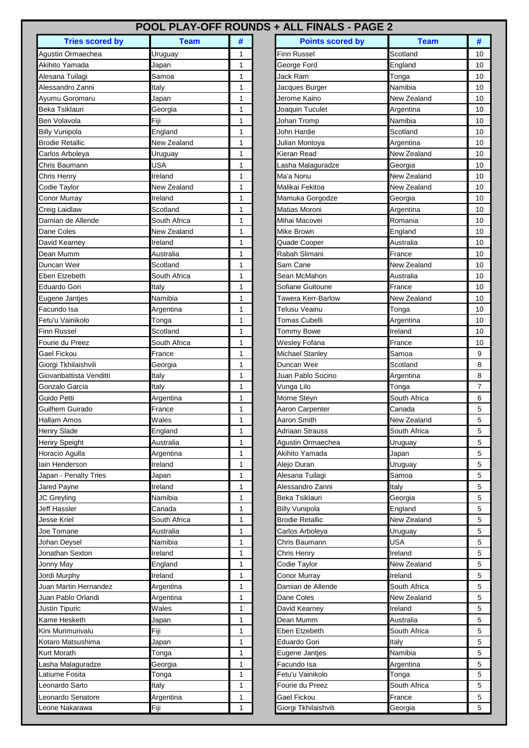## **POOL PLAY-OFF ROUNDS + ALL FINALS - PAGE 2**

| <b>Tries scored by</b>  | <b>Team</b>  | #            | <b>Points scored by</b> | <b>Team</b>  | #              |
|-------------------------|--------------|--------------|-------------------------|--------------|----------------|
| Agustin Ormaechea       | Uruguay      | 1            | <b>Finn Russel</b>      | Scotland     | 10             |
| Akihito Yamada          | Japan        | 1            | George Ford             | England      | 10             |
| Alesana Tuilagi         | Samoa        | 1            | Jack Ram                | Tonga        | 1 <sup>C</sup> |
| Alessandro Zanni        | Italy        | 1            | Jacques Burger          | Namibia      | 1 <sup>C</sup> |
| Ayumu Goromaru          | Japan        | 1            | Jerome Kaino            | New Zealand  | 10             |
| Beka Tsiklauri          | Georgia      | 1            | Joaquin Tuculet         | Argentina    | 10             |
| Ben Volavola            | Fiji         | 1            | Johan Tromp             | Namibia      | 1 <sup>C</sup> |
| <b>Billy Vunipola</b>   | England      | 1            | John Hardie             | Scotland     | 10             |
| <b>Brodie Retallic</b>  | New Zealand  | 1            | Julian Montoya          | Argentina    | 10             |
| Carlos Arboleya         | Uruguay      | 1            | Kieran Read             | New Zealand  | 10             |
| Chris Baumann           | USA          | 1            | Lasha Malaguradze       | Georgia      | 10             |
| Chris Henry             | Ireland      | 1            | Ma'a Nonu               | New Zealand  | 10             |
| Codie Taylor            | New Zealand  | 1            | Malikai Fekitoa         | New Zealand  | 10             |
| <b>Conor Murray</b>     | Ireland      | 1            | Mamuka Gorgodze         | Georgia      | 10             |
| Creig Laidlaw           | Scotland     | 1            | Matias Moroni           | Argentina    | 1 <sup>C</sup> |
| Damian de Allende       | South Africa | 1            | Mihai Macovei           | Romania      | 1 <sup>C</sup> |
| Dane Coles              | New Zealand  | 1            | Mike Brown              | England      | 1 <sup>C</sup> |
| David Kearney           | Ireland      | 1            | Quade Cooper            | Australia    | 1 <sup>C</sup> |
| Dean Mumm               | Australia    | 1            | Rabah Slimani           | France       | 10             |
| Duncan Weir             | Scotland     | 1            | Sam Cane                | New Zealand  | 10             |
| Eben Etzebeth           | South Africa | 1            | Sean McMahon            | Australia    | 10             |
| Eduardo Gori            | Italy        | $\mathbf{1}$ | Sofiane Guitoune        | France       | 10             |
| Eugene Jantjes          | Namibia      | 1            | Tawera Kerr-Barlow      | New Zealand  | 10             |
| Facundo Isa             | Argentina    | 1            | Telusu Veainu           | Tonga        | 1 <sup>C</sup> |
| Fetu'u Vainikolo        | Tonga        | 1            | Tomas Cubelli           | Argentina    | 10             |
| <b>Finn Russel</b>      | Scotland     | 1            | Tommy Bowe              | Ireland      | 10             |
| Fourie du Preez         | South Africa | 1            | Wesley Fofana           | France       | 1 <sup>C</sup> |
| Gael Fickou             | France       | 1            | Michael Stanley         | Samoa        | 9              |
| Giorgi Tkhilaishvili    | Georgia      | 1            | Duncan Weir             | Scotland     | 8              |
| Giovanbattista Venditti | Italy        | 1            | Juan Pablo Socino       | Argentina    | 8              |
| Gonzalo Garcia          | Italy        | 1            | Vunga Lilo              | Tonga        | $\overline{7}$ |
| Guido Petti             | Argentina    | 1            | Morne Steyn             | South Africa | 6              |
| Guilhem Guirado         | France       | 1            | Aaron Carpenter         | Canada       | 5              |
| <b>Hallam Amos</b>      | Wales        | 1            | Aaron Smith             | New Zealand  | 5              |
| <b>Henry Slade</b>      | England      | 1            | Adriaan Strauss         | South Africa | 5              |
| <b>Henry Speight</b>    | Australia    | 1            | Agustin Ormaechea       | Uruguay      | 5              |
| Horacio Agulla          | Argentina    | 1            | Akihito Yamada          | Japan        | 5              |
| lain Henderson          | Ireland      | 1            | Alejo Duran             | Uruguay      | $\sqrt{5}$     |
| Japan - Penalty Tries   | Japan        | 1            | Alesana Tuilagi         | Samoa        | $\sqrt{5}$     |
| Jared Payne             | Ireland      | 1            | Alessandro Zanni        | Italy        | 5              |
| <b>JC Greyling</b>      | Namibia      | 1            | Beka Tsiklauri          | Georgia      | 5              |
| Jeff Hassler            | Canada       | 1            | <b>Billy Vunipola</b>   | England      | 5              |
| <b>Jesse Kriel</b>      | South Africa | 1            | <b>Brodie Retallic</b>  | New Zealand  | 5              |
| Joe Tomane              | Australia    | 1            | Carlos Arboleya         | Uruguay      | 5              |
| <b>Johan Deysel</b>     | Namibia      | 1            | Chris Baumann           | <b>USA</b>   | 5              |
| Jonathan Sexton         | Ireland      | 1            | Chris Henry             | Ireland      | 5              |
| Jonny May               | England      | $\mathbf 1$  | Codie Taylor            | New Zealand  | 5              |
| Jordi Murphy            | Ireland      | 1            | Conor Murray            | Ireland      | 5              |
| Juan Martin Hernandez   | Argentina    | 1            | Damian de Allende       | South Africa | 5              |
| Juan Pablo Orlandi      | Argentina    | 1            | Dane Coles              | New Zealand  | 5              |
| Justin Tipuric          | Wales        | 1            | David Kearney           | Ireland      | $\sqrt{5}$     |
| Kame Hesketh            | Japan        | 1            | Dean Mumm               | Australia    | 5              |
| Kini Murimurivalu       | Fiji         | 1            | Eben Etzebeth           | South Africa | 5              |
| Kotaro Matsushima       | Japan        | 1            | Eduardo Gori            | Italy        | 5              |
| <b>Kurt Morath</b>      | Tonga        | 1            | Eugene Jantjes          | Namibia      | 5              |
| Lasha Malaguradze       | Georgia      | 1            | Facundo Isa             | Argentina    | 5              |
| Latiume Fosita          | Tonga        | 1            | Fetu'u Vainikolo        | Tonga        | 5              |
| Leonardo Sarto          | Italy        | 1            | Fourie du Preez         | South Africa | 5              |
| Leonardo Senatore       | Argentina    | $\mathbf 1$  | Gael Fickou             | France       | 5              |
| Leone Nakarawa          | Fiji         | 1            | Giorgi Tkhilaishvili    | Georgia      | 5              |
|                         |              |              |                         |              |                |

| <b>Tries scored by</b> | <b>Team</b>  | # |
|------------------------|--------------|---|
| Ormaechea              | Uruguay      | 1 |
| ramada                 | Japan        | 1 |
| Tuilagi                | Samoa        | 1 |
| dro Zanni              | Italy        | 1 |
| Goromaru               | Japan        | 1 |
| iklauri                | Georgia      | 1 |
| avola                  | Fiji         | 1 |
| hipola                 | England      | 1 |
| <b>Retallic</b>        | New Zealand  | 1 |
| <b>Arboleya</b>        | Uruguay      | 1 |
| aumann                 | USA          | 1 |
|                        | Ireland      | 1 |
| enry                   |              |   |
| aylor                  | New Zealand  | 1 |
| <b>lurray</b>          | Ireland      | 1 |
| aidlaw                 | Scotland     | 1 |
| de Allende             | South Africa | 1 |
| oles                   | New Zealand  | 1 |
| earney                 | Ireland      | 1 |
| umm                    | Australia    | 1 |
| Weir                   | Scotland     | 1 |
| zebeth                 | South Africa | 1 |
| າ Gori                 | Italy        | 1 |
|                        | Namibia      | 1 |
| Jantjes                |              |   |
| s Isa                  | Argentina    | 1 |
| 'ainikolo              | Tonga        | 1 |
| ssel                   | Scotland     | 1 |
| lu Preez               | South Africa | 1 |
| :kou                   | France       | 1 |
| khilaishvili           | Georgia      | 1 |
| attista Venditti       | Italy        | 1 |
| Garcia                 | Italv        | 1 |
| etti                   | Argentina    | 1 |
| Guirado                | France       | 1 |
| Amos                   | Wales        | 1 |
| lade                   |              | 1 |
|                        | England      |   |
| peight                 | Australia    | 1 |
| Agulla                 | Argentina    | 1 |
| iderson                | Ireland      | 1 |
| <b>Penalty Tries</b>   | Japan        | 1 |
| ayne                   | Ireland      | 1 |
| ling                   | Namibia      | 1 |
| sler                   | Canada       | 1 |
| riel                   | South Africa | 1 |
| าane                   | Australia    | 1 |
|                        |              |   |
| eysel                  | Namibia      | 1 |
| n Sexton               | Ireland      | 1 |
| lay                    | England      | 1 |
| <u>ırphy</u>           | Ireland      | 1 |
| artin Hernandez        | Argentina    | 1 |
| ıblo Orlandi           | Argentina    | 1 |
| ipuric                 | Wales        | 1 |
| esketh                 | Japan        | 1 |
| imurivalu              | Fiji         | 1 |
| <b>Aatsushima</b>      | Japan        | 1 |
|                        |              |   |
| rath                   | Tonga        | 1 |
| dalaguradze            | Georgia      | 1 |
| Fosita                 | Tonga        | 1 |
| lo Sarto               | Italy        | 1 |
| lo Senatore            | Argentina    | 1 |
| lakarawa               | Fiji         | 1 |
|                        |              |   |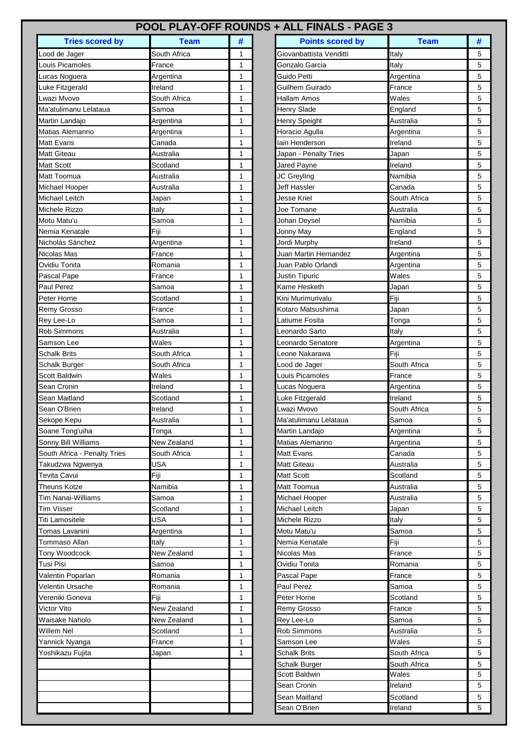## **POOL PLAY-OFF ROUNDS + ALL FINALS - PAGE 3**

| <b>Tries scored by</b>       | Team         | #            | <b>Points scored by</b> | <b>Team</b>  | ħ |
|------------------------------|--------------|--------------|-------------------------|--------------|---|
| Lood de Jager                | South Africa | 1            | Giovanbattista Venditti | Italy        | 5 |
| Louis Picamoles              | France       | 1            | Gonzalo Garcia          | Italy        | 5 |
| Lucas Noguera                | Argentina    | 1            | Guido Petti             | Argentina    | 5 |
| Luke Fitzgerald              | Ireland      | 1            | Guilhem Guirado         | France       | 5 |
| Lwazi Myoyo                  | South Africa | 1            | Hallam Amos             | Wales        | 5 |
| Ma'atulimanu Lelataua        | Samoa        | 1            | Henry Slade             | England      | 5 |
| Martin Landajo               | Argentina    | 1            | Henry Speight           | Australia    | 5 |
| Matias Alemanno              | Argentina    | 1            | Horacio Agulla          | Argentina    | 5 |
| <b>Matt Evans</b>            | Canada       | 1            | lain Henderson          | Ireland      | 5 |
| <b>Matt Giteau</b>           | Australia    | 1            | Japan - Penalty Tries   | Japan        | 5 |
| <b>Matt Scott</b>            | Scotland     | 1            | Jared Payne             | Ireland      | 5 |
| Matt Toomua                  | Australia    | 1            | JC Greyling             | Namibia      | 5 |
| Michael Hooper               | Australia    | 1            | Jeff Hassler            | Canada       | 5 |
| Michael Leitch               | Japan        | 1            | Jesse Kriel             | South Africa | 5 |
| Michele Rizzo                | Italy        | 1            | Joe Tomane              | Australia    | 5 |
| Motu Matu'u                  | Samoa        | 1            | Johan Deysel            | Namibia      | 5 |
| Nemia Kenatale               | Fiji         | 1            | Jonny May               | England      | 5 |
| Nicholás Sánchez             | Argentina    | 1            | Jordi Murphy            | Ireland      | 5 |
| Nicolas Mas                  | France       | 1            | Juan Martin Hernandez   | Argentina    | 5 |
| Ovidiu Tonita                | Romania      | 1            | Juan Pablo Orlandi      | Argentina    | 5 |
| Pascal Pape                  | France       | $\mathbf{1}$ | Justin Tipuric          | Wales        | 5 |
| Paul Perez                   | Samoa        | $\mathbf{1}$ | Kame Hesketh            | Japan        | 5 |
| Peter Horne                  | Scotland     | 1            | Kini Murimurivalu       | Fiji         | 5 |
| Remy Grosso                  | France       | 1            | Kotaro Matsushima       | Japan        | 5 |
| Rey Lee-Lo                   | Samoa        | 1            | Latiume Fosita          | Tonga        | 5 |
| <b>Rob Simmons</b>           | Australia    | 1            | Leonardo Sarto          | Italy        | 5 |
| Samson Lee                   | Wales        | 1            | Leonardo Senatore       | Argentina    | 5 |
| <b>Schalk Brits</b>          | South Africa | 1            | Leone Nakarawa          | Fiji         | 5 |
| <b>Schalk Burger</b>         | South Africa | 1            | Lood de Jager           | South Africa | 5 |
| <b>Scott Baldwin</b>         | Wales        | 1            | Louis Picamoles         | France       | 5 |
| Sean Cronin                  | Ireland      | 1            | Lucas Noguera           | Argentina    | 5 |
| Sean Maitland                | Scotland     | $\mathbf{1}$ | Luke Fitzgerald         | Ireland      | 5 |
| Sean O'Brien                 | Ireland      | 1            | Lwazi Mvovo             | South Africa | 5 |
| Sekope Kepu                  | Australia    | 1            | Ma'atulimanu Lelataua   | Samoa        | 5 |
| Soane Tong'uiha              | Tonga        | 1            | Martin Landajo          | Argentina    | 5 |
| Sonny Bill Williams          | New Zealand  | 1            | Matias Alemanno         | Argentina    | 5 |
| South Africa - Penalty Tries | South Africa | 1            | <b>Matt Evans</b>       | Canada       | 5 |
| Takudzwa Ngwenya             | USA          | 1            | <b>Matt Giteau</b>      | Australia    | 5 |
| Tevita Cavui                 | Fiji         | 1            | <b>Matt Scott</b>       | Scotland     | 5 |
| <b>Theuns Kotze</b>          | Namibia      | 1            | <b>Matt Toomua</b>      | Australia    | 5 |
| <b>Tim Nanai-Williams</b>    | Samoa        | 1            | Michael Hooper          | Australia    | 5 |
| Tim Visser                   | Scotland     | 1            | Michael Leitch          | Japan        | 5 |
| Titi Lamositele              | USA          | 1            | Michele Rizzo           | Italy        | 5 |
| Tomas Lavanini               | Argentina    | 1            | Motu Matu'u             | Samoa        | 5 |
| Tommaso Allan                | Italy        | 1            | Nemia Kenatale          | Fiji         | 5 |
| Tony Woodcock                | New Zealand  | 1            | Nicolas Mas             | France       | 5 |
| Tusi Pisi                    | Samoa        | 1            | Ovidiu Tonita           | Romania      | 5 |
| Valentin Poparlan            | Romania      | 1            | Pascal Pape             | France       | 5 |
| Velentin Ursache             | Romania      | 1            | Paul Perez              | Samoa        | 5 |
| Vereniki Goneva              | Fiji         | 1            | Peter Horne             | Scotland     | 5 |
| Victor Vito                  | New Zealand  | 1            | Remy Grosso             | France       | 5 |
| Waisake Naholo               | New Zealand  | 1            | Rey Lee-Lo              | Samoa        | 5 |
| <b>Willem Nel</b>            | Scotland     | 1            | <b>Rob Simmons</b>      | Australia    | 5 |
| Yannick Nyanga               | France       | 1            | Samson Lee              | Wales        | 5 |
| Yoshikazu Fujita             | Japan        | 1            | <b>Schalk Brits</b>     | South Africa | 5 |
|                              |              |              | Schalk Burger           | South Africa | 5 |
|                              |              |              | Scott Baldwin           | Wales        | 5 |
|                              |              |              | Sean Cronin             | Ireland      | 5 |
|                              |              |              | Sean Maitland           | Scotland     | 5 |
|                              |              |              | Sean O'Brien            | Ireland      | 5 |

| <b>Tries scored by</b> | <b>Team</b>  | #            |
|------------------------|--------------|--------------|
| Jager                  | South Africa | 1            |
| camoles                | France       | 1            |
| loguera                | Argentina    | 1            |
| zgerald                | Ireland      | 1            |
| vovo                   | South Africa | $\mathbf{1}$ |
| manu Lelataua          | Samoa        | 1            |
| andajo                 | Argentina    | 1            |
| <b>Nemanno</b>         | Argentina    | 1            |
| ans                    | Canada       | 1            |
| eau                    | Australia    | 1            |
| ott                    | Scotland     | 1            |
| omua                   | Australia    | 1            |
| Hooper                 | Australia    | 1            |
| Leitch                 | Japan        | 1            |
| Rizzo                  |              | 1            |
|                        | Italy        |              |
| atu'u                  | Samoa        | 1            |
| <b>Cenatale</b>        | Fiji         | 1            |
| s Sánchez              | Argentina    | 1            |
| Mas                    | France       | 1            |
| onita                  | Romania      | 1            |
| Pape                   | France       | 1            |
| rez                    | Samoa        | 1            |
| orne                   | Scotland     | 1            |
| rosso                  | France       | 1            |
| .-Lo                   | Samoa        | 1            |
| nmons                  | Australia    | 1            |
|                        |              |              |
| Lee                    | Wales        | 1            |
| <b>Brits</b>           | South Africa | 1            |
| <b>Burger</b>          | South Africa | 1            |
| aldwin                 | Wales        | 1            |
| onin                   | Ireland      | 1            |
| aitland                | Scotland     | 1            |
| <b>Brien</b>           | Ireland      | 1            |
| Kepu                   | Australia    | 1            |
| ong'uiha               | Tonga        | 1            |
| <b>Bill Williams</b>   | New Zealand  | 1            |
|                        |              |              |
| frica - Penalty Tries  | South Africa | 1            |
| va Ngwenya             | USA          | 1            |
| avui∶                  | Fiji         | 1            |
| Kotze                  | Namibia      | 1            |
| าai-Williams           | Samoa        | 1            |
| ser                    | Scotland     | 1            |
| ositele                | <b>USA</b>   | 1            |
| Lavanini               | Argentina    | 1            |
| so Allan               | Italv        | 1            |
| oodcock                | New Zealand  | 1            |
|                        | Samoa        | 1            |
|                        |              |              |
| Poparlan               | Romania      | 1            |
| Ursache                | Romania      | 1            |
| Goneva                 | Fiji         | 1            |
| ito                    | New Zealand  | 1            |
| e Naholo               | New Zealand  | 1            |
| <b>Nel</b>             | Scotland     | 1            |
| Nyanga                 | France       | 1            |
|                        |              |              |
| zu Fujita              | Japan        | 1            |
|                        |              |              |
|                        |              |              |
|                        |              |              |
|                        |              |              |
|                        |              |              |